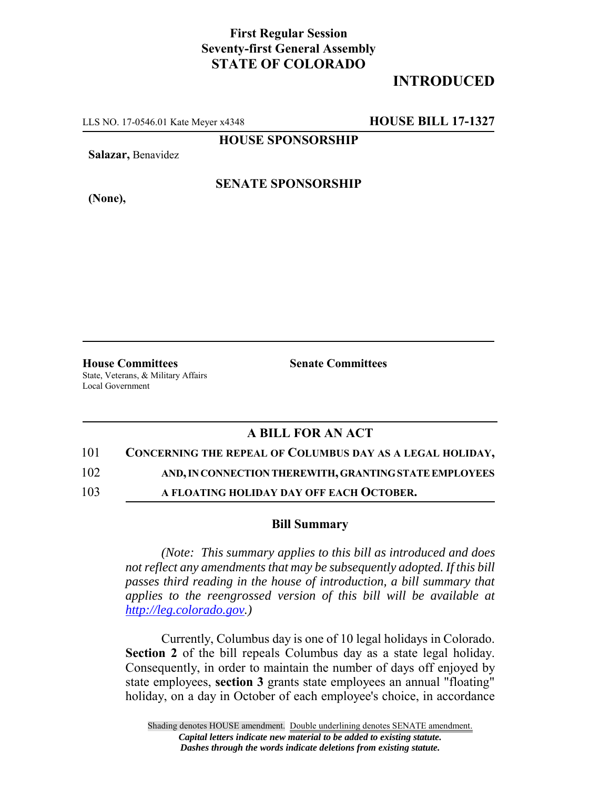## **First Regular Session Seventy-first General Assembly STATE OF COLORADO**

# **INTRODUCED**

LLS NO. 17-0546.01 Kate Meyer x4348 **HOUSE BILL 17-1327**

**HOUSE SPONSORSHIP**

**Salazar,** Benavidez

**(None),**

### **SENATE SPONSORSHIP**

**House Committees Senate Committees** State, Veterans, & Military Affairs Local Government

### **A BILL FOR AN ACT**

#### 101 **CONCERNING THE REPEAL OF COLUMBUS DAY AS A LEGAL HOLIDAY,**

102 **AND, IN CONNECTION THEREWITH, GRANTING STATE EMPLOYEES**

103 **A FLOATING HOLIDAY DAY OFF EACH OCTOBER.**

#### **Bill Summary**

*(Note: This summary applies to this bill as introduced and does not reflect any amendments that may be subsequently adopted. If this bill passes third reading in the house of introduction, a bill summary that applies to the reengrossed version of this bill will be available at http://leg.colorado.gov.)*

Currently, Columbus day is one of 10 legal holidays in Colorado. **Section 2** of the bill repeals Columbus day as a state legal holiday. Consequently, in order to maintain the number of days off enjoyed by state employees, **section 3** grants state employees an annual "floating" holiday, on a day in October of each employee's choice, in accordance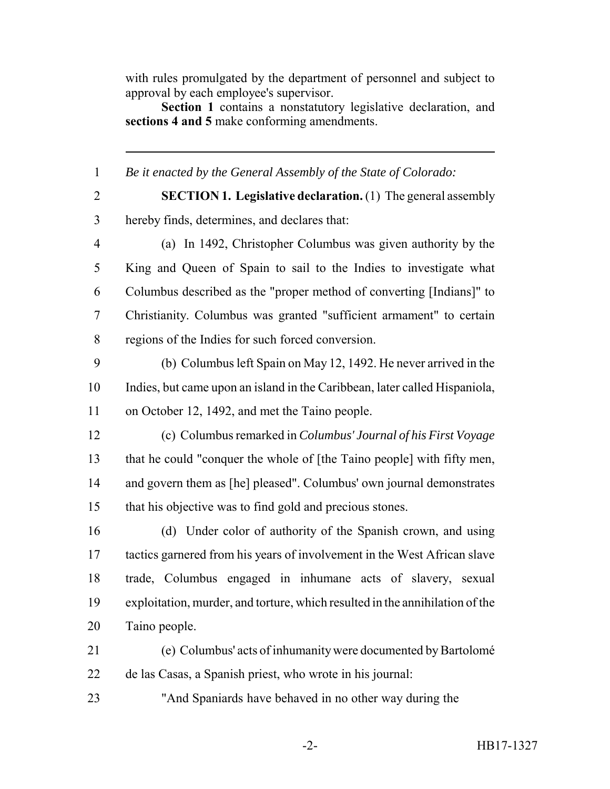with rules promulgated by the department of personnel and subject to approval by each employee's supervisor.

**Section 1** contains a nonstatutory legislative declaration, and **sections 4 and 5** make conforming amendments.

*Be it enacted by the General Assembly of the State of Colorado:*

 **SECTION 1. Legislative declaration.** (1) The general assembly hereby finds, determines, and declares that:

 (a) In 1492, Christopher Columbus was given authority by the King and Queen of Spain to sail to the Indies to investigate what Columbus described as the "proper method of converting [Indians]" to Christianity. Columbus was granted "sufficient armament" to certain regions of the Indies for such forced conversion.

 (b) Columbus left Spain on May 12, 1492. He never arrived in the Indies, but came upon an island in the Caribbean, later called Hispaniola, on October 12, 1492, and met the Taino people.

 (c) Columbus remarked in *Columbus' Journal of his First Voyage* that he could "conquer the whole of [the Taino people] with fifty men, and govern them as [he] pleased". Columbus' own journal demonstrates that his objective was to find gold and precious stones.

 (d) Under color of authority of the Spanish crown, and using tactics garnered from his years of involvement in the West African slave trade, Columbus engaged in inhumane acts of slavery, sexual exploitation, murder, and torture, which resulted in the annihilation of the Taino people.

 (e) Columbus' acts of inhumanity were documented by Bartolomé de las Casas, a Spanish priest, who wrote in his journal:

"And Spaniards have behaved in no other way during the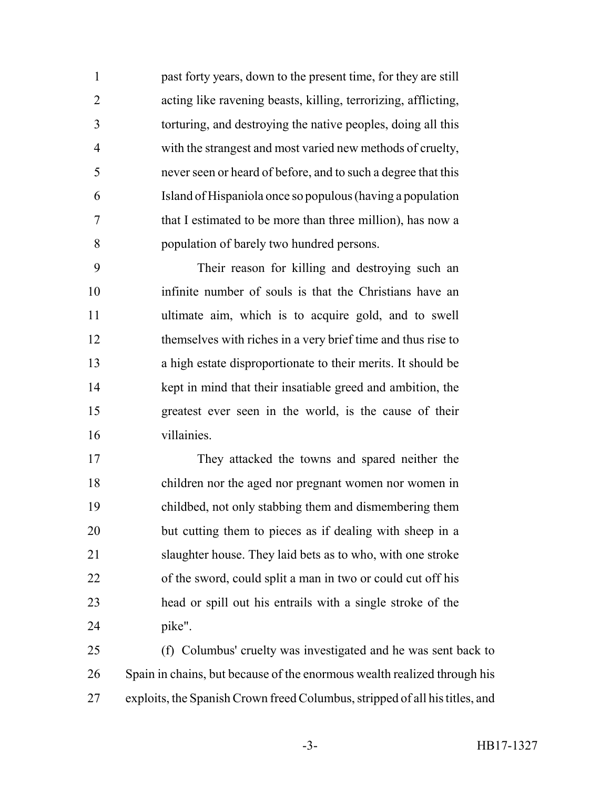past forty years, down to the present time, for they are still acting like ravening beasts, killing, terrorizing, afflicting, torturing, and destroying the native peoples, doing all this with the strangest and most varied new methods of cruelty, never seen or heard of before, and to such a degree that this Island of Hispaniola once so populous (having a population that I estimated to be more than three million), has now a population of barely two hundred persons.

 Their reason for killing and destroying such an infinite number of souls is that the Christians have an ultimate aim, which is to acquire gold, and to swell themselves with riches in a very brief time and thus rise to a high estate disproportionate to their merits. It should be kept in mind that their insatiable greed and ambition, the greatest ever seen in the world, is the cause of their villainies.

 They attacked the towns and spared neither the children nor the aged nor pregnant women nor women in childbed, not only stabbing them and dismembering them but cutting them to pieces as if dealing with sheep in a slaughter house. They laid bets as to who, with one stroke of the sword, could split a man in two or could cut off his head or spill out his entrails with a single stroke of the pike".

 (f) Columbus' cruelty was investigated and he was sent back to Spain in chains, but because of the enormous wealth realized through his exploits, the Spanish Crown freed Columbus, stripped of all his titles, and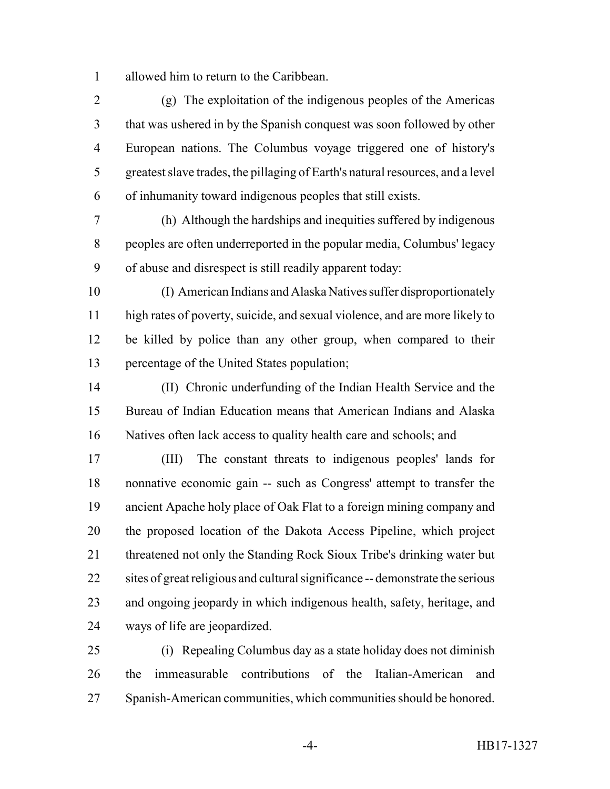allowed him to return to the Caribbean.

 (g) The exploitation of the indigenous peoples of the Americas that was ushered in by the Spanish conquest was soon followed by other European nations. The Columbus voyage triggered one of history's greatest slave trades, the pillaging of Earth's natural resources, and a level of inhumanity toward indigenous peoples that still exists.

 (h) Although the hardships and inequities suffered by indigenous peoples are often underreported in the popular media, Columbus' legacy of abuse and disrespect is still readily apparent today:

 (I) American Indians and Alaska Natives suffer disproportionately high rates of poverty, suicide, and sexual violence, and are more likely to be killed by police than any other group, when compared to their percentage of the United States population;

 (II) Chronic underfunding of the Indian Health Service and the Bureau of Indian Education means that American Indians and Alaska Natives often lack access to quality health care and schools; and

 (III) The constant threats to indigenous peoples' lands for nonnative economic gain -- such as Congress' attempt to transfer the ancient Apache holy place of Oak Flat to a foreign mining company and the proposed location of the Dakota Access Pipeline, which project threatened not only the Standing Rock Sioux Tribe's drinking water but sites of great religious and cultural significance -- demonstrate the serious and ongoing jeopardy in which indigenous health, safety, heritage, and ways of life are jeopardized.

 (i) Repealing Columbus day as a state holiday does not diminish the immeasurable contributions of the Italian-American and Spanish-American communities, which communities should be honored.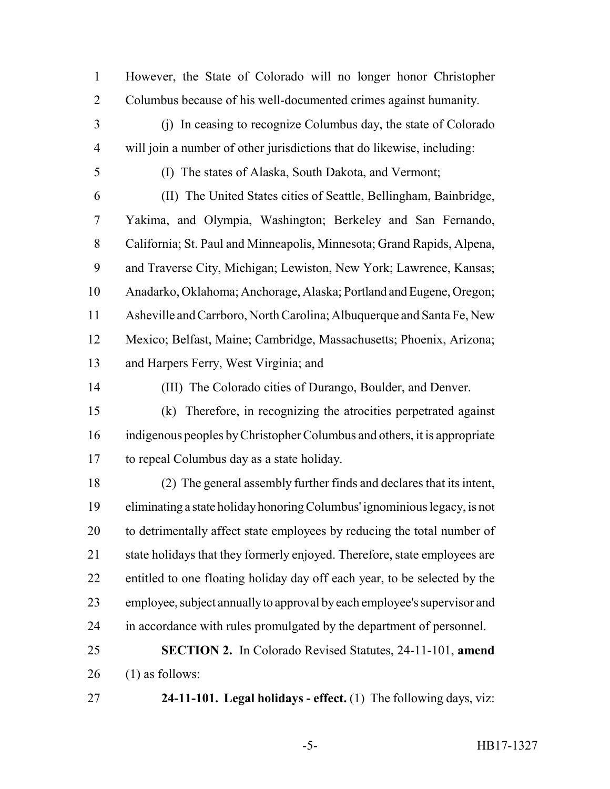However, the State of Colorado will no longer honor Christopher Columbus because of his well-documented crimes against humanity.

 (j) In ceasing to recognize Columbus day, the state of Colorado will join a number of other jurisdictions that do likewise, including:

(I) The states of Alaska, South Dakota, and Vermont;

 (II) The United States cities of Seattle, Bellingham, Bainbridge, Yakima, and Olympia, Washington; Berkeley and San Fernando, California; St. Paul and Minneapolis, Minnesota; Grand Rapids, Alpena, and Traverse City, Michigan; Lewiston, New York; Lawrence, Kansas; Anadarko, Oklahoma; Anchorage, Alaska; Portland and Eugene, Oregon; Asheville and Carrboro, North Carolina; Albuquerque and Santa Fe, New Mexico; Belfast, Maine; Cambridge, Massachusetts; Phoenix, Arizona; and Harpers Ferry, West Virginia; and

(III) The Colorado cities of Durango, Boulder, and Denver.

 (k) Therefore, in recognizing the atrocities perpetrated against indigenous peoples by Christopher Columbus and others, it is appropriate to repeal Columbus day as a state holiday.

 (2) The general assembly further finds and declares that its intent, eliminating a state holiday honoring Columbus' ignominious legacy, is not 20 to detrimentally affect state employees by reducing the total number of 21 state holidays that they formerly enjoyed. Therefore, state employees are entitled to one floating holiday day off each year, to be selected by the employee, subject annually to approval by each employee's supervisor and in accordance with rules promulgated by the department of personnel.

 **SECTION 2.** In Colorado Revised Statutes, 24-11-101, **amend** (1) as follows:

**24-11-101. Legal holidays - effect.** (1) The following days, viz: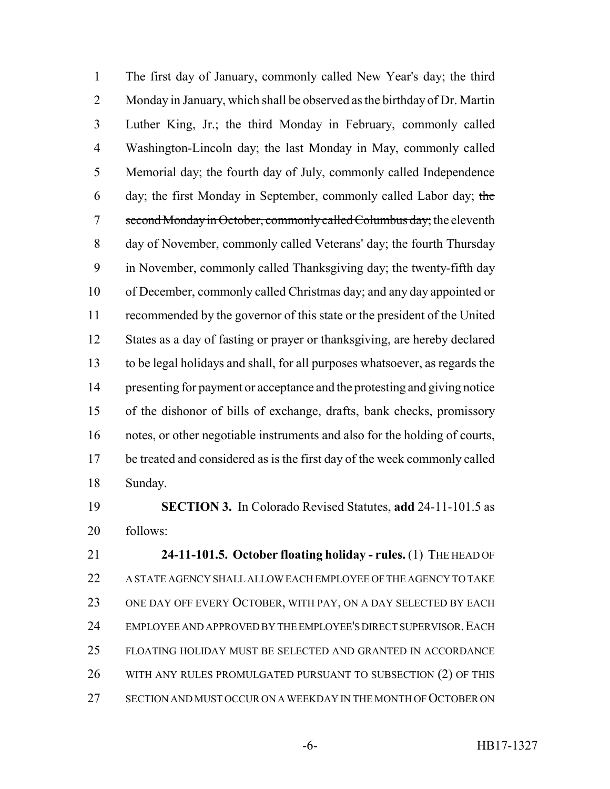The first day of January, commonly called New Year's day; the third Monday in January, which shall be observed as the birthday of Dr. Martin Luther King, Jr.; the third Monday in February, commonly called Washington-Lincoln day; the last Monday in May, commonly called Memorial day; the fourth day of July, commonly called Independence day; the first Monday in September, commonly called Labor day; the 7 second Monday in October, commonly called Columbus day; the eleventh day of November, commonly called Veterans' day; the fourth Thursday in November, commonly called Thanksgiving day; the twenty-fifth day of December, commonly called Christmas day; and any day appointed or recommended by the governor of this state or the president of the United States as a day of fasting or prayer or thanksgiving, are hereby declared to be legal holidays and shall, for all purposes whatsoever, as regards the presenting for payment or acceptance and the protesting and giving notice of the dishonor of bills of exchange, drafts, bank checks, promissory notes, or other negotiable instruments and also for the holding of courts, be treated and considered as is the first day of the week commonly called Sunday.

 **SECTION 3.** In Colorado Revised Statutes, **add** 24-11-101.5 as follows:

 **24-11-101.5. October floating holiday - rules.** (1) THE HEAD OF A STATE AGENCY SHALL ALLOW EACH EMPLOYEE OF THE AGENCY TO TAKE ONE DAY OFF EVERY OCTOBER, WITH PAY, ON A DAY SELECTED BY EACH 24 EMPLOYEE AND APPROVED BY THE EMPLOYEE'S DIRECT SUPERVISOR. EACH FLOATING HOLIDAY MUST BE SELECTED AND GRANTED IN ACCORDANCE WITH ANY RULES PROMULGATED PURSUANT TO SUBSECTION (2) OF THIS SECTION AND MUST OCCUR ON A WEEKDAY IN THE MONTH OF OCTOBER ON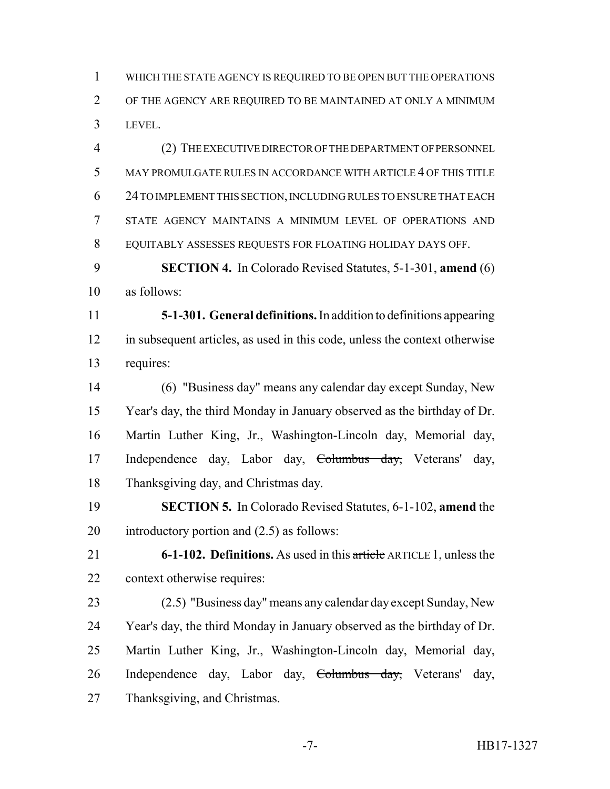WHICH THE STATE AGENCY IS REQUIRED TO BE OPEN BUT THE OPERATIONS OF THE AGENCY ARE REQUIRED TO BE MAINTAINED AT ONLY A MINIMUM LEVEL.

 (2) THE EXECUTIVE DIRECTOR OF THE DEPARTMENT OF PERSONNEL MAY PROMULGATE RULES IN ACCORDANCE WITH ARTICLE 4 OF THIS TITLE 24 TO IMPLEMENT THIS SECTION, INCLUDING RULES TO ENSURE THAT EACH STATE AGENCY MAINTAINS A MINIMUM LEVEL OF OPERATIONS AND EQUITABLY ASSESSES REQUESTS FOR FLOATING HOLIDAY DAYS OFF.

 **SECTION 4.** In Colorado Revised Statutes, 5-1-301, **amend** (6) as follows:

 **5-1-301. General definitions.** In addition to definitions appearing in subsequent articles, as used in this code, unless the context otherwise requires:

 (6) "Business day" means any calendar day except Sunday, New Year's day, the third Monday in January observed as the birthday of Dr. Martin Luther King, Jr., Washington-Lincoln day, Memorial day, Independence day, Labor day, Columbus day, Veterans' day, Thanksgiving day, and Christmas day.

 **SECTION 5.** In Colorado Revised Statutes, 6-1-102, **amend** the introductory portion and (2.5) as follows:

 **6-1-102. Definitions.** As used in this article ARTICLE 1, unless the context otherwise requires:

 (2.5) "Business day" means any calendar day except Sunday, New Year's day, the third Monday in January observed as the birthday of Dr. Martin Luther King, Jr., Washington-Lincoln day, Memorial day, Independence day, Labor day, Columbus day, Veterans' day, Thanksgiving, and Christmas.